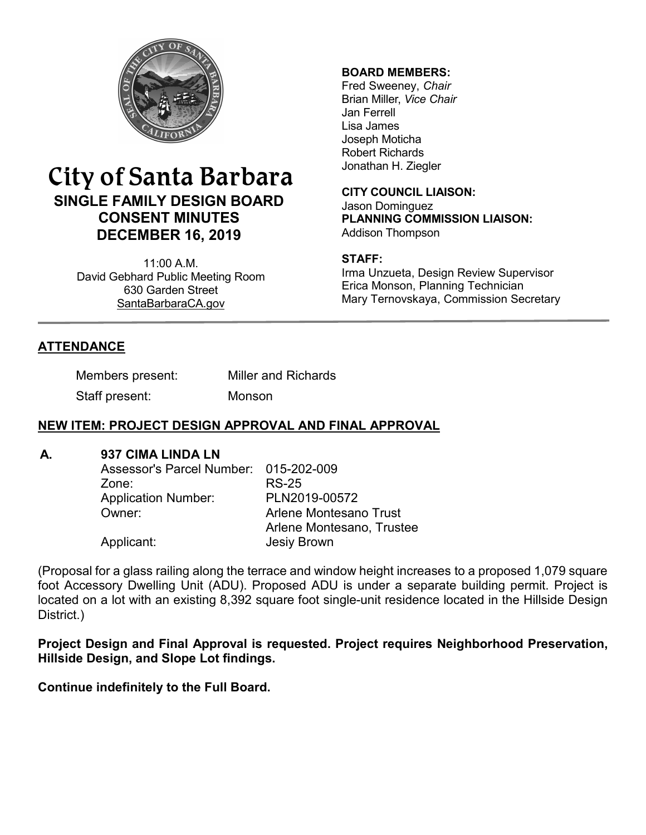

# City of Santa Barbara **SINGLE FAMILY DESIGN BOARD CONSENT MINUTES DECEMBER 16, 2019**

11:00 A.M. David Gebhard Public Meeting Room 630 Garden Street [SantaBarbaraCA.gov](http://www.santabarbaraca.gov/)

### **BOARD MEMBERS:**

Fred Sweeney, *Chair* Brian Miller, *Vice Chair* Jan Ferrell Lisa James Joseph Moticha Robert Richards Jonathan H. Ziegler

**CITY COUNCIL LIAISON:** Jason Dominguez **PLANNING COMMISSION LIAISON:** Addison Thompson

### **STAFF:**

Irma Unzueta, Design Review Supervisor Erica Monson, Planning Technician Mary Ternovskaya, Commission Secretary

## **ATTENDANCE**

| Members present: | <b>Miller and Richards</b> |  |
|------------------|----------------------------|--|
|                  |                            |  |

Staff present: Monson

## **NEW ITEM: PROJECT DESIGN APPROVAL AND FINAL APPROVAL**

### **A. 937 CIMA LINDA LN**

| Assessor's Parcel Number: 015-202-009 |
|---------------------------------------|
| RS-25                                 |
| PLN2019-00572                         |
| Arlene Montesano Trust                |
| Arlene Montesano, Trustee             |
| <b>Jesiy Brown</b>                    |
|                                       |

(Proposal for a glass railing along the terrace and window height increases to a proposed 1,079 square foot Accessory Dwelling Unit (ADU). Proposed ADU is under a separate building permit. Project is located on a lot with an existing 8,392 square foot single-unit residence located in the Hillside Design District.)

**Project Design and Final Approval is requested. Project requires Neighborhood Preservation, Hillside Design, and Slope Lot findings.**

**Continue indefinitely to the Full Board.**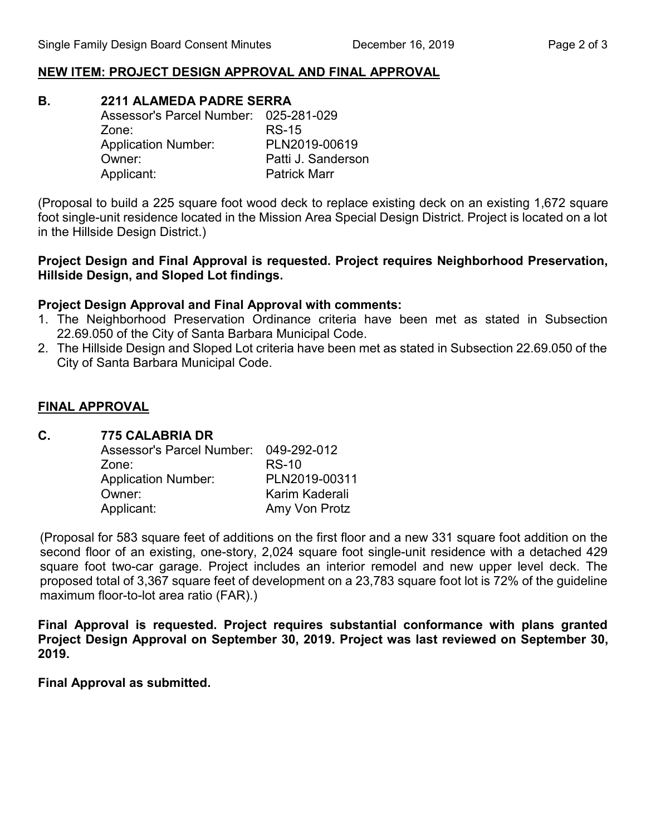### **NEW ITEM: PROJECT DESIGN APPROVAL AND FINAL APPROVAL**

**B. 2211 ALAMEDA PADRE SERRA** 

| Assessor's Parcel Number: 025-281-029 |                     |
|---------------------------------------|---------------------|
| Zone:                                 | <b>RS-15</b>        |
| <b>Application Number:</b>            | PLN2019-00619       |
| Owner:                                | Patti J. Sanderson  |
| Applicant:                            | <b>Patrick Marr</b> |

(Proposal to build a 225 square foot wood deck to replace existing deck on an existing 1,672 square foot single-unit residence located in the Mission Area Special Design District. Project is located on a lot in the Hillside Design District.)

#### **Project Design and Final Approval is requested. Project requires Neighborhood Preservation, Hillside Design, and Sloped Lot findings.**

### **Project Design Approval and Final Approval with comments:**

- 1. The Neighborhood Preservation Ordinance criteria have been met as stated in Subsection 22.69.050 of the City of Santa Barbara Municipal Code.
- 2. The Hillside Design and Sloped Lot criteria have been met as stated in Subsection 22.69.050 of the City of Santa Barbara Municipal Code.

### **FINAL APPROVAL**

### **C. 775 CALABRIA DR**

| <b>Assessor's Parcel Number:</b> | 049-292-012    |
|----------------------------------|----------------|
| Zone:                            | <b>RS-10</b>   |
| <b>Application Number:</b>       | PLN2019-00311  |
| Owner:                           | Karim Kaderali |
| Applicant:                       | Amy Von Protz  |

(Proposal for 583 square feet of additions on the first floor and a new 331 square foot addition on the second floor of an existing, one-story, 2,024 square foot single-unit residence with a detached 429 square foot two-car garage. Project includes an interior remodel and new upper level deck. The proposed total of 3,367 square feet of development on a 23,783 square foot lot is 72% of the guideline maximum floor-to-lot area ratio (FAR).)

**Final Approval is requested. Project requires substantial conformance with plans granted Project Design Approval on September 30, 2019. Project was last reviewed on September 30, 2019.**

**Final Approval as submitted.**